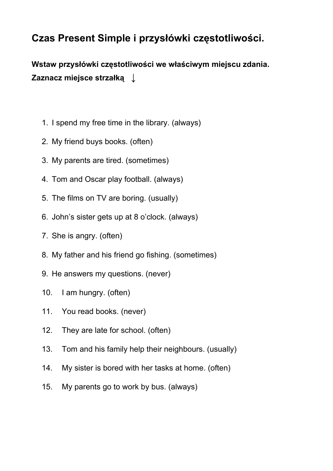## **Czas Present Simple i przysłówki częstotliwości.**

**Wstaw przysłówki częstotliwości we właściwym miejscu zdania. Zaznacz miejsce strzałką** ↓

- 1. I spend my free time in the library. (always)
- 2. My friend buys books. (often)
- 3. My parents are tired. (sometimes)
- 4. Tom and Oscar play football. (always)
- 5. The films on TV are boring. (usually)
- 6. John's sister gets up at 8 o'clock. (always)
- 7. She is angry. (often)
- 8. My father and his friend go fishing. (sometimes)
- 9. He answers my questions. (never)
- 10. I am hungry. (often)
- 11. You read books. (never)
- 12. They are late for school. (often)
- 13. Tom and his family help their neighbours. (usually)
- 14. My sister is bored with her tasks at home. (often)
- 15. My parents go to work by bus. (always)